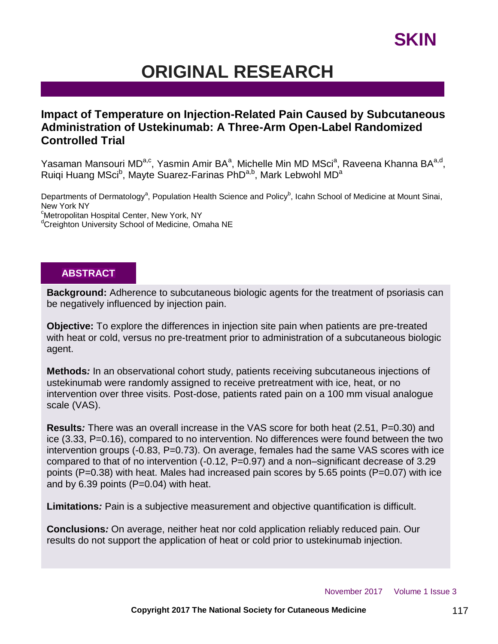# **ORIGINAL RESEARCH**

## **Impact of Temperature on Injection-Related Pain Caused by Subcutaneous Administration of Ustekinumab: A Three-Arm Open-Label Randomized Controlled Trial**

Yasaman Mansouri MD<sup>a,c</sup>, Yasmin Amir BA<sup>a</sup>, Michelle Min MD MSci<sup>a</sup>, Raveena Khanna BA<sup>a,d</sup>, Ruiqi Huang MSci<sup>b</sup>, Mayte Suarez-Farinas PhD<sup>a,b</sup>, Mark Lebwohl MD<sup>a</sup>

Departments of Dermatology<sup>a</sup>, Population Health Science and Policy<sup>b</sup>, Icahn School of Medicine at Mount Sinai, New York NY <sup>c</sup>Metropolitan Hospital Center, New York, NY

<sup>d</sup>Creighton University School of Medicine, Omaha NE

### **ABSTRACT**

**Background:** Adherence to subcutaneous biologic agents for the treatment of psoriasis can be negatively influenced by injection pain.

**Objective:** To explore the differences in injection site pain when patients are pre-treated with heat or cold, versus no pre-treatment prior to administration of a subcutaneous biologic agent.

**Methods***:* In an observational cohort study, patients receiving subcutaneous injections of ustekinumab were randomly assigned to receive pretreatment with ice, heat, or no intervention over three visits. Post-dose, patients rated pain on a 100 mm visual analogue scale (VAS).

**Results***:* There was an overall increase in the VAS score for both heat (2.51, P=0.30) and ice (3.33, P=0.16), compared to no intervention. No differences were found between the two intervention groups  $(-0.83, P=0.73)$ . On average, females had the same VAS scores with ice compared to that of no intervention (-0.12, P=0.97) and a non–significant decrease of 3.29 points (P=0.38) with heat. Males had increased pain scores by 5.65 points (P=0.07) with ice and by  $6.39$  points (P=0.04) with heat.

**Limitations***:* Pain is a subjective measurement and objective quantification is difficult.

**Conclusions***:* On average, neither heat nor cold application reliably reduced pain. Our results do not support the application of heat or cold prior to ustekinumab injection.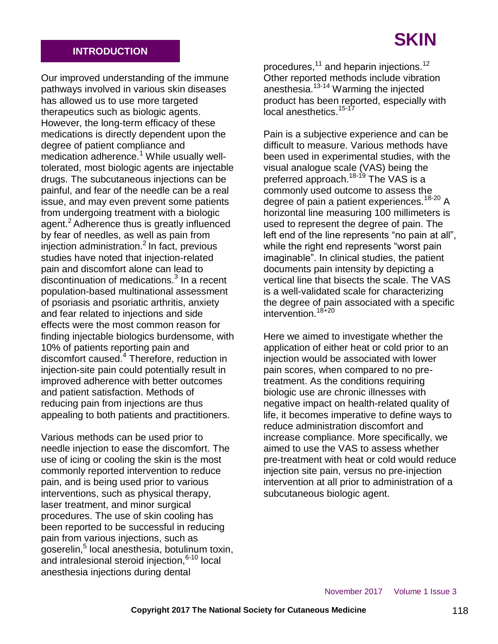## **INTRODUCTION**

Our improved understanding of the immune pathways involved in various skin diseases has allowed us to use more targeted therapeutics such as biologic agents. However, the long-term efficacy of these medications is directly dependent upon the degree of patient compliance and medication adherence.<sup>1</sup> While usually welltolerated, most biologic agents are injectable drugs. The subcutaneous injections can be painful, and fear of the needle can be a real issue, and may even prevent some patients from undergoing treatment with a biologic agent.<sup>2</sup> Adherence thus is greatly influenced by fear of needles, as well as pain from  $injection$  administration. $<sup>2</sup>$  In fact, previous</sup> studies have noted that injection-related pain and discomfort alone can lead to .<br>discontinuation of medications.<sup>3</sup> In a recent population-based multinational assessment of psoriasis and psoriatic arthritis, anxiety and fear related to injections and side effects were the most common reason for finding injectable biologics burdensome, with 10% of patients reporting pain and discomfort caused.<sup>4</sup> Therefore, reduction in injection-site pain could potentially result in improved adherence with better outcomes and patient satisfaction. Methods of reducing pain from injections are thus appealing to both patients and practitioners.

Various methods can be used prior to needle injection to ease the discomfort. The use of icing or cooling the skin is the most commonly reported intervention to reduce pain, and is being used prior to various interventions, such as physical therapy, laser treatment, and minor surgical procedures. The use of skin cooling has been reported to be successful in reducing pain from various injections, such as .<br>goserelin,<sup>5</sup> local anesthesia, botulinum toxin, and intralesional steroid injection, $6-10$  local anesthesia injections during dental

procedures,<sup>11</sup> and heparin injections.<sup>12</sup> Other reported methods include vibration anesthesia.<sup>13-14</sup> Warming the injected product has been reported, especially with .<br>local anesthetics.<sup>15-17</sup>

Pain is a subjective experience and can be difficult to measure. Various methods have been used in experimental studies, with the visual analogue scale (VAS) being the preferred approach.<sup>18-19</sup> The VAS is a commonly used outcome to assess the degree of pain a patient experiences.<sup>18-20</sup> A horizontal line measuring 100 millimeters is used to represent the degree of pain. The left end of the line represents "no pain at all", while the right end represents "worst pain imaginable". In clinical studies, the patient documents pain intensity by depicting a vertical line that bisects the scale. The VAS is a well-validated scale for characterizing the degree of pain associated with a specific intervention.<sup>18+20</sup>

Here we aimed to investigate whether the application of either heat or cold prior to an injection would be associated with lower pain scores, when compared to no pretreatment. As the conditions requiring biologic use are chronic illnesses with negative impact on health-related quality of life, it becomes imperative to define ways to reduce administration discomfort and increase compliance. More specifically, we aimed to use the VAS to assess whether pre-treatment with heat or cold would reduce injection site pain, versus no pre-injection intervention at all prior to administration of a subcutaneous biologic agent.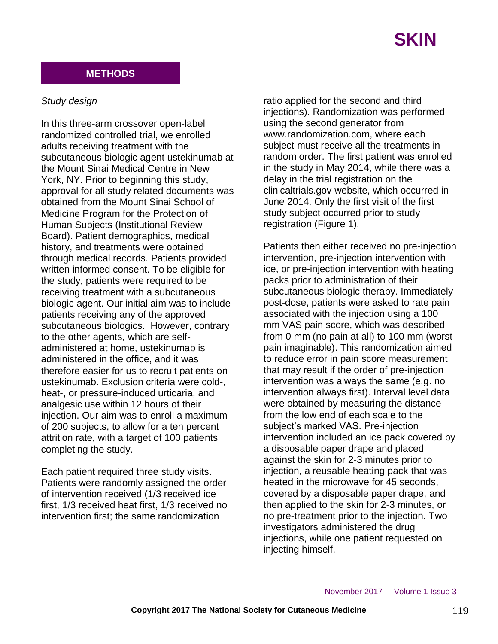

## **METHODS**

### *Study design*

In this three-arm crossover open-label randomized controlled trial, we enrolled adults receiving treatment with the subcutaneous biologic agent ustekinumab at the Mount Sinai Medical Centre in New York, NY. Prior to beginning this study, approval for all study related documents was obtained from the Mount Sinai School of Medicine Program for the Protection of Human Subjects (Institutional Review Board). Patient demographics, medical history, and treatments were obtained through medical records. Patients provided written informed consent. To be eligible for the study, patients were required to be receiving treatment with a subcutaneous biologic agent. Our initial aim was to include patients receiving any of the approved subcutaneous biologics. However, contrary to the other agents, which are selfadministered at home, ustekinumab is administered in the office, and it was therefore easier for us to recruit patients on ustekinumab. Exclusion criteria were cold-, heat-, or pressure-induced urticaria, and analgesic use within 12 hours of their injection. Our aim was to enroll a maximum of 200 subjects, to allow for a ten percent attrition rate, with a target of 100 patients completing the study.

Each patient required three study visits. Patients were randomly assigned the order of intervention received (1/3 received ice first, 1/3 received heat first, 1/3 received no intervention first; the same randomization

ratio applied for the second and third injections). Randomization was performed using the second generator from www.randomization.com, where each subject must receive all the treatments in random order. The first patient was enrolled in the study in May 2014, while there was a delay in the trial registration on the clinicaltrials.gov website, which occurred in June 2014. Only the first visit of the first study subject occurred prior to study registration (Figure 1).

Patients then either received no pre-injection intervention, pre-injection intervention with ice, or pre-injection intervention with heating packs prior to administration of their subcutaneous biologic therapy. Immediately post-dose, patients were asked to rate pain associated with the injection using a 100 mm VAS pain score, which was described from 0 mm (no pain at all) to 100 mm (worst pain imaginable). This randomization aimed to reduce error in pain score measurement that may result if the order of pre-injection intervention was always the same (e.g. no intervention always first). Interval level data were obtained by measuring the distance from the low end of each scale to the subject's marked VAS. Pre-injection intervention included an ice pack covered by a disposable paper drape and placed against the skin for 2-3 minutes prior to injection, a reusable heating pack that was heated in the microwave for 45 seconds, covered by a disposable paper drape, and then applied to the skin for 2-3 minutes, or no pre-treatment prior to the injection. Two investigators administered the drug injections, while one patient requested on injecting himself.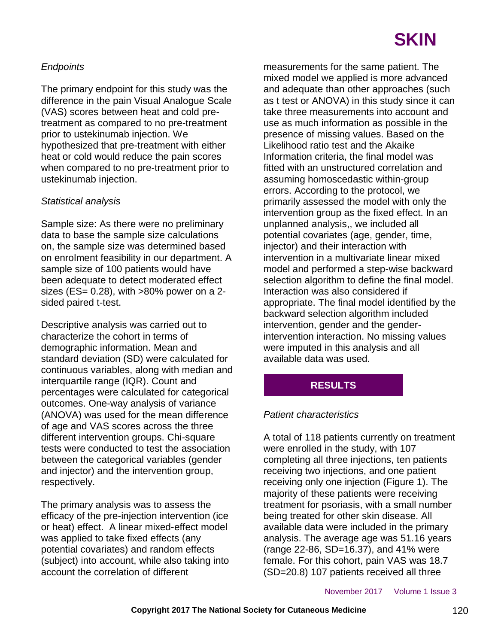## *Endpoints*

The primary endpoint for this study was the difference in the pain Visual Analogue Scale (VAS) scores between heat and cold pretreatment as compared to no pre-treatment prior to ustekinumab injection. We hypothesized that pre-treatment with either heat or cold would reduce the pain scores when compared to no pre-treatment prior to ustekinumab injection.

## *Statistical analysis*

Sample size: As there were no preliminary data to base the sample size calculations on, the sample size was determined based on enrolment feasibility in our department. A sample size of 100 patients would have been adequate to detect moderated effect sizes ( $ES = 0.28$ ), with  $>80\%$  power on a 2sided paired t-test.

Descriptive analysis was carried out to characterize the cohort in terms of demographic information. Mean and standard deviation (SD) were calculated for continuous variables, along with median and interquartile range (IQR). Count and percentages were calculated for categorical outcomes. One-way analysis of variance (ANOVA) was used for the mean difference of age and VAS scores across the three different intervention groups. Chi-square tests were conducted to test the association between the categorical variables (gender and injector) and the intervention group, respectively.

The primary analysis was to assess the efficacy of the pre-injection intervention (ice or heat) effect. A linear mixed-effect model was applied to take fixed effects (any potential covariates) and random effects (subject) into account, while also taking into account the correlation of different

measurements for the same patient. The mixed model we applied is more advanced and adequate than other approaches (such as t test or ANOVA) in this study since it can take three measurements into account and use as much information as possible in the presence of missing values. Based on the Likelihood ratio test and the Akaike Information criteria, the final model was fitted with an unstructured correlation and assuming homoscedastic within-group errors. According to the protocol, we primarily assessed the model with only the intervention group as the fixed effect. In an unplanned analysis,, we included all potential covariates (age, gender, time, injector) and their interaction with intervention in a multivariate linear mixed model and performed a step-wise backward selection algorithm to define the final model. Interaction was also considered if appropriate. The final model identified by the backward selection algorithm included intervention, gender and the genderintervention interaction. No missing values were imputed in this analysis and all available data was used.

# **RESULTS**

## *Patient characteristics*

A total of 118 patients currently on treatment were enrolled in the study, with 107 completing all three injections, ten patients receiving two injections, and one patient receiving only one injection (Figure 1). The majority of these patients were receiving treatment for psoriasis, with a small number being treated for other skin disease. All available data were included in the primary analysis. The average age was 51.16 years (range 22-86, SD=16.37), and 41% were female. For this cohort, pain VAS was 18.7 (SD=20.8) 107 patients received all three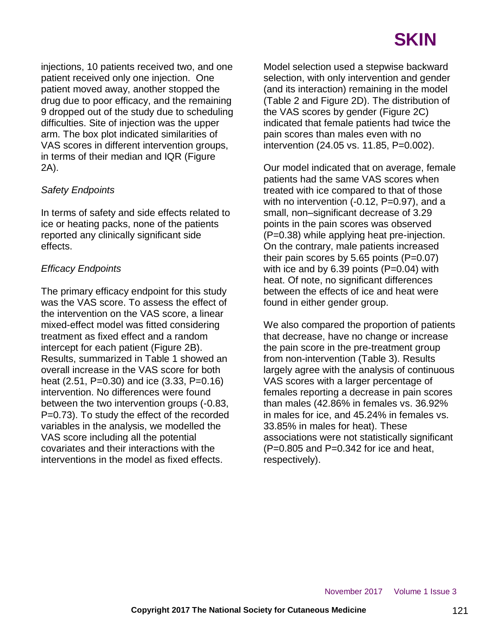injections, 10 patients received two, and one patient received only one injection. One patient moved away, another stopped the drug due to poor efficacy, and the remaining 9 dropped out of the study due to scheduling difficulties. Site of injection was the upper arm. The box plot indicated similarities of VAS scores in different intervention groups, in terms of their median and IQR (Figure 2A).

## *Safety Endpoints*

In terms of safety and side effects related to ice or heating packs, none of the patients reported any clinically significant side effects.

## *Efficacy Endpoints*

The primary efficacy endpoint for this study was the VAS score. To assess the effect of the intervention on the VAS score, a linear mixed-effect model was fitted considering treatment as fixed effect and a random intercept for each patient (Figure 2B). Results, summarized in Table 1 showed an overall increase in the VAS score for both heat (2.51, P=0.30) and ice (3.33, P=0.16) intervention. No differences were found between the two intervention groups (-0.83, P=0.73). To study the effect of the recorded variables in the analysis, we modelled the VAS score including all the potential covariates and their interactions with the interventions in the model as fixed effects.

Model selection used a stepwise backward selection, with only intervention and gender (and its interaction) remaining in the model (Table 2 and Figure 2D). The distribution of the VAS scores by gender (Figure 2C) indicated that female patients had twice the pain scores than males even with no intervention (24.05 vs. 11.85, P=0.002).

Our model indicated that on average, female patients had the same VAS scores when treated with ice compared to that of those with no intervention (-0.12, P=0.97), and a small, non–significant decrease of 3.29 points in the pain scores was observed (P=0.38) while applying heat pre-injection. On the contrary, male patients increased their pain scores by 5.65 points  $(P=0.07)$ with ice and by  $6.39$  points ( $P=0.04$ ) with heat. Of note, no significant differences between the effects of ice and heat were found in either gender group.

We also compared the proportion of patients that decrease, have no change or increase the pain score in the pre-treatment group from non-intervention (Table 3). Results largely agree with the analysis of continuous VAS scores with a larger percentage of females reporting a decrease in pain scores than males (42.86% in females vs. 36.92% in males for ice, and 45.24% in females vs. 33.85% in males for heat). These associations were not statistically significant  $(P=0.805$  and  $P=0.342$  for ice and heat. respectively).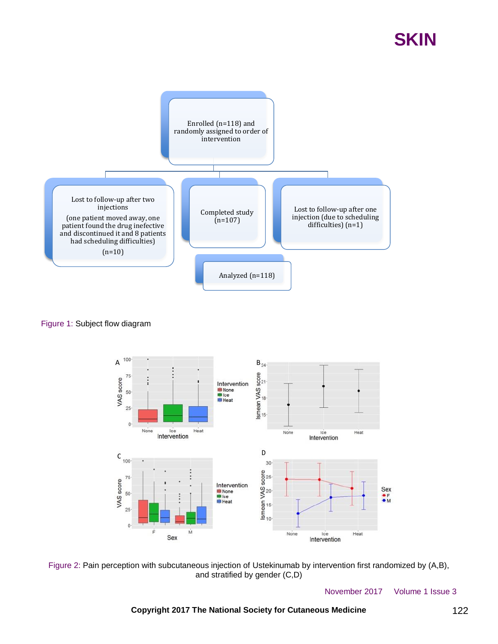

#### Figure 1: Subject flow diagram



Figure 2: Pain perception with subcutaneous injection of Ustekinumab by intervention first randomized by (A,B), and stratified by gender (C,D)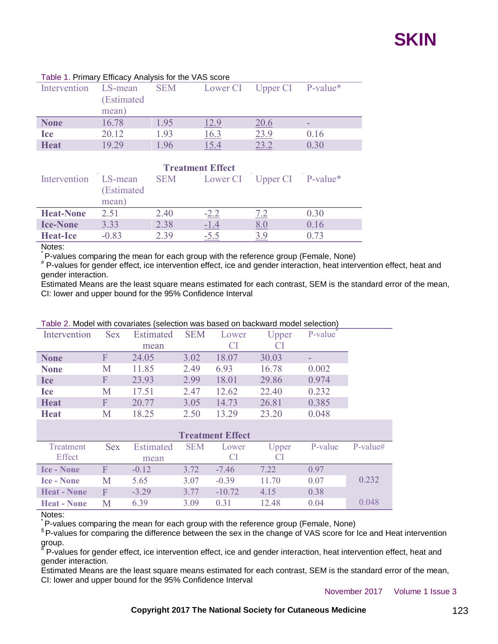

| Table 1.1 milary Embaby Amaryold for the VAID boots |                                 |      |      |                            |      |  |  |  |
|-----------------------------------------------------|---------------------------------|------|------|----------------------------|------|--|--|--|
| Intervention                                        | LS-mean<br>(Estimated)<br>mean) | SEM  |      | Lower CI Upper CI P-value* |      |  |  |  |
| <b>None</b>                                         | 16.78                           | 1.95 | 12.9 | 20.6                       |      |  |  |  |
| <b>Ice</b>                                          | 20.12                           | 1.93 | 16.3 | 23.9                       | 0.16 |  |  |  |
| <b>Heat</b>                                         | 19.29                           | 1.96 | L5.4 | 23.2                       | 0.30 |  |  |  |

#### Table 1. Primary Efficacy Analysis for the VAS score

| <b>Treatment Effect</b> |                                |            |             |                            |      |  |  |  |
|-------------------------|--------------------------------|------------|-------------|----------------------------|------|--|--|--|
| Intervention            | LS-mean<br>(Estimated<br>mean) | <b>SEM</b> |             | Lower CI Upper CI P-value* |      |  |  |  |
| <b>Heat-None</b>        | 2.51                           | 2.40       | $-2.2$      |                            | 0.30 |  |  |  |
| <b>Ice-None</b>         | 3.33                           | 2.38       | <u>-1.4</u> | 8.U                        | 0.16 |  |  |  |
| <b>Heat-Ice</b>         | $-0.83$                        | 2.39       | $-5.5$      |                            |      |  |  |  |

Notes:

P-values comparing the mean for each group with the reference group (Female, None)

# P-values for gender effect, ice intervention effect, ice and gender interaction, heat intervention effect, heat and gender interaction.

Estimated Means are the least square means estimated for each contrast, SEM is the standard error of the mean, CI: lower and upper bound for the 95% Confidence Interval

| Intervention            | <b>Sex</b> | Estimated        | <b>SEM</b> | Lower     | Upper | P-value |            |  |  |
|-------------------------|------------|------------------|------------|-----------|-------|---------|------------|--|--|
|                         |            | mean             |            | <b>CI</b> | CI    |         |            |  |  |
| <b>None</b>             | F          | 24.05            | 3.02       | 18.07     | 30.03 |         |            |  |  |
| <b>None</b>             | M          | 11.85            | 2.49       | 6.93      | 16.78 | 0.002   |            |  |  |
| <b>Ice</b>              | F          | 23.93            | 2.99       | 18.01     | 29.86 | 0.974   |            |  |  |
| <b>Ice</b>              | M          | 17.51            | 2.47       | 12.62     | 22.40 | 0.232   |            |  |  |
| <b>Heat</b>             | F          | 20.77            | 3.05       | 14.73     | 26.81 | 0.385   |            |  |  |
| <b>Heat</b>             | M          | 18.25            | 2.50       | 13.29     | 23.20 | 0.048   |            |  |  |
|                         |            |                  |            |           |       |         |            |  |  |
| <b>Treatment Effect</b> |            |                  |            |           |       |         |            |  |  |
| Treatment               | <b>Sex</b> | <b>Estimated</b> | <b>SEM</b> | Lower     | Upper | P-value | $P-value#$ |  |  |
| Effect                  |            | mean             |            | CI        | CI    |         |            |  |  |
| <b>Ice - None</b>       | F          | $-0.12$          | 3.72       | $-7.46$   | 7.22  | 0.97    |            |  |  |
| <b>Ice - None</b>       | Μ          | 5.65             | 3.07       | $-0.39$   | 11.70 | 0.07    | 0.232      |  |  |

#### Table 2. Model with covariates (selection was based on backward model selection)

Notes:

P-values comparing the mean for each group with the reference group (Female, None)

**Heat - None** M 6.39 3.09 0.31 12.48 0.04 0.048

**Heat - None** F -3.29 3.77 -10.72 4.15 0.38

§ P-values for comparing the difference between the sex in the change of VAS score for Ice and Heat intervention group.

# P-values for gender effect, ice intervention effect, ice and gender interaction, heat intervention effect, heat and gender interaction.

Estimated Means are the least square means estimated for each contrast, SEM is the standard error of the mean, CI: lower and upper bound for the 95% Confidence Interval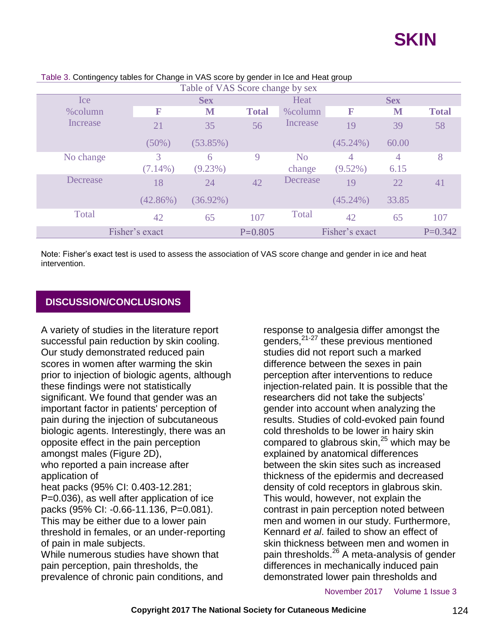| Table of VAS Score change by sex |             |             |              |                |                |            |              |  |
|----------------------------------|-------------|-------------|--------------|----------------|----------------|------------|--------------|--|
| Ice:                             |             | <b>Sex</b>  |              | Heat           |                | <b>Sex</b> |              |  |
| $%$ column                       | F           | M           | <b>Total</b> | %column        | F              | M          | <b>Total</b> |  |
| Increase                         | 21          | 35          | 56           | Increase       | 19             | 39         | 58           |  |
|                                  | $(50\%)$    | (53.85%)    |              |                | $(45.24\%)$    | 60.00      |              |  |
| No change                        | 3           | 6           | 9            | N <sub>o</sub> | 4              | 4          | 8            |  |
|                                  | $(7.14\%)$  | $(9.23\%)$  |              | change         | $(9.52\%)$     | 6.15       |              |  |
| Decrease                         | 18          | 24          | 42           | Decrease       | 19             | 22         | 41           |  |
|                                  | $(42.86\%)$ | $(36.92\%)$ |              |                | $(45.24\%)$    | 33.85      |              |  |
| Total                            | 42          | 65          | 107          | Total          | 42             | 65         | 107          |  |
| Fisher's exact                   |             |             | $P = 0.805$  |                | Fisher's exact |            | $P=0.342$    |  |

### Table 3. Contingency tables for Change in VAS score by gender in Ice and Heat group

Note: Fisher's exact test is used to assess the association of VAS score change and gender in ice and heat intervention.

### **DISCUSSION/CONCLUSIONS**

A variety of studies in the literature report successful pain reduction by skin cooling. Our study demonstrated reduced pain scores in women after warming the skin prior to injection of biologic agents, although these findings were not statistically significant. We found that gender was an important factor in patients' perception of pain during the injection of subcutaneous biologic agents. Interestingly, there was an opposite effect in the pain perception amongst males (Figure 2D), who reported a pain increase after application of heat packs (95% CI: 0.403-12.281; P=0.036), as well after application of ice packs (95% CI: -0.66-11.136, P=0.081). This may be either due to a lower pain threshold in females, or an under-reporting of pain in male subjects. While numerous studies have shown that

pain perception, pain thresholds, the prevalence of chronic pain conditions, and response to analgesia differ amongst the genders,<sup>21-27</sup> these previous mentioned studies did not report such a marked difference between the sexes in pain perception after interventions to reduce injection-related pain. It is possible that the researchers did not take the subjects' gender into account when analyzing the results. Studies of cold-evoked pain found cold thresholds to be lower in hairy skin compared to glabrous skin, $^{25}$  which may be explained by anatomical differences between the skin sites such as increased thickness of the epidermis and decreased density of cold receptors in glabrous skin. This would, however, not explain the contrast in pain perception noted between men and women in our study. Furthermore, Kennard *et al*. failed to show an effect of skin thickness between men and women in pain thresholds.<sup>26</sup> A meta-analysis of gender differences in mechanically induced pain demonstrated lower pain thresholds and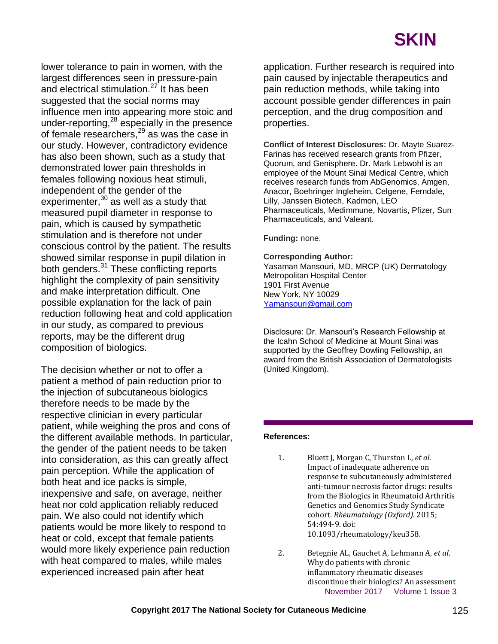lower tolerance to pain in women, with the largest differences seen in pressure-pain and electrical stimulation.<sup>27</sup> It has been suggested that the social norms may influence men into appearing more stoic and under-reporting, $^{28}$  especially in the presence of female researchers,<sup>29</sup> as was the case in our study. However, contradictory evidence has also been shown, such as a study that demonstrated lower pain thresholds in females following noxious heat stimuli, independent of the gender of the experimenter, $30$  as well as a study that measured pupil diameter in response to pain, which is caused by sympathetic stimulation and is therefore not under conscious control by the patient. The results showed similar response in pupil dilation in both genders.<sup>31</sup> These conflicting reports highlight the complexity of pain sensitivity and make interpretation difficult. One possible explanation for the lack of pain reduction following heat and cold application in our study, as compared to previous reports, may be the different drug composition of biologics.

The decision whether or not to offer a patient a method of pain reduction prior to the injection of subcutaneous biologics therefore needs to be made by the respective clinician in every particular patient, while weighing the pros and cons of the different available methods. In particular, the gender of the patient needs to be taken into consideration, as this can greatly affect pain perception. While the application of both heat and ice packs is simple, inexpensive and safe, on average, neither heat nor cold application reliably reduced pain. We also could not identify which patients would be more likely to respond to heat or cold, except that female patients would more likely experience pain reduction with heat compared to males, while males experienced increased pain after heat

application. Further research is required into pain caused by injectable therapeutics and pain reduction methods, while taking into account possible gender differences in pain perception, and the drug composition and properties.

**Conflict of Interest Disclosures:** Dr. Mayte Suarez-Farinas has received research grants from Pfizer, Quorum, and Genisphere. Dr. Mark Lebwohl is an employee of the Mount Sinai Medical Centre, which receives research funds from AbGenomics, Amgen, Anacor, Boehringer Ingleheim, Celgene, Ferndale, Lilly, Janssen Biotech, Kadmon, LEO Pharmaceuticals, Medimmune, Novartis, Pfizer, Sun Pharmaceuticals, and Valeant.

**Funding:** none.

#### **Corresponding Author:**

Yasaman Mansouri, MD, MRCP (UK) Dermatology Metropolitan Hospital Center 1901 First Avenue New York, NY 10029 [Yamansouri@gmail.com](mailto:Yamansouri@gmail.com)

Disclosure: Dr. Mansouri's Research Fellowship at the Icahn School of Medicine at Mount Sinai was supported by the Geoffrey Dowling Fellowship, an award from the British Association of Dermatologists (United Kingdom).

#### **References:**

- 1. Bluett J, Morgan C, Thurston L, *et al*. Impact of inadequate adherence on response to subcutaneously administered anti-tumour necrosis factor drugs: results from the Biologics in Rheumatoid Arthritis Genetics and Genomics Study Syndicate cohort. *Rheumatology (Oxford)*. 2015; 54:494-9. doi: 10.1093/rheumatology/keu358.
- November 2017 Volume 1 Issue 3 2. Betegnie AL, Gauchet A, Lehmann A, *et al*. Why do patients with chronic inflammatory rheumatic diseases discontinue their biologics? An assessment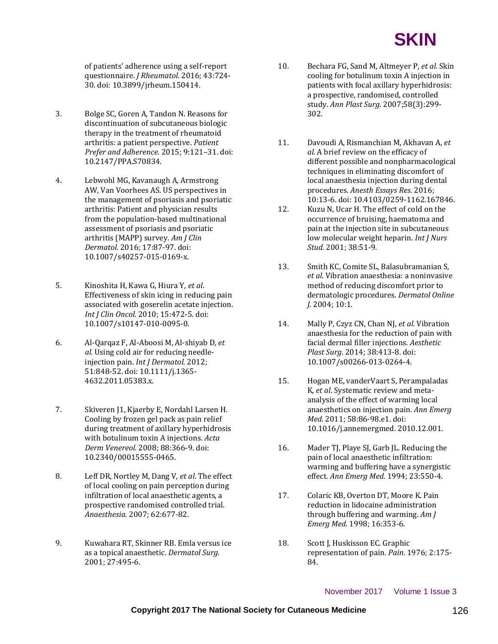

of patients' adherence using a self-report questionnaire. *J Rheumatol*. 2016; 43:724- 30. doi: 10.3899/jrheum.150414.

- 3. Bolge SC, Goren A, Tandon N. Reasons for discontinuation of subcutaneous biologic therapy in the treatment of rheumatoid arthritis: a patient perspective. *Patient Prefer and Adherence.* 2015; 9:121–31. doi: 10.2147/PPA.S70834.
- 4. Lebwohl MG, Kavanaugh A, Armstrong AW, Van Voorhees AS. US perspectives in the management of psoriasis and psoriatic arthritis: Patient and physician results from the population-based multinational assessment of psoriasis and psoriatic arthritis (MAPP) survey. *Am J Clin Dermatol.* 2016; 17:87-97. doi: 10.1007/s40257-015-0169-x.
- 5. Kinoshita H, Kawa G, Hiura Y, *et al*. Effectiveness of skin icing in reducing pain associated with goserelin acetate injection. *Int J Clin Oncol.* 2010; 15:472-5. doi: 10.1007/s10147-010-0095-0.
- 6. Al-Qarqaz F, Al-Aboosi M, Al-shiyab D, *et al*. Using cold air for reducing needleinjection pain. *Int J Dermatol.* 2012; 51:848-52. doi: 10.1111/j.1365- 4632.2011.05383.x.
- 7. Skiveren J1, Kjaerby E, Nordahl Larsen H. Cooling by frozen gel pack as pain relief during treatment of axillary hyperhidrosis with botulinum toxin A injections. *Acta Derm Venereol.* 2008; 88:366-9. doi: 10.2340/00015555-0465.
- 8. Leff DR, Nortley M, Dang V, *et al*. The effect of local cooling on pain perception during infiltration of local anaesthetic agents, a prospective randomised controlled trial. *Anaesthesia.* 2007; 62:677-82.
- 9. Kuwahara RT, Skinner RB. Emla versus ice as a topical anaesthetic. *Dermatol Surg.* 2001; 27:495-6.
- 10. Bechara FG, Sand M, Altmeyer P, *et al*. Skin cooling for botulinum toxin A injection in patients with focal axillary hyperhidrosis: a prospective, randomised, controlled study. *Ann Plast Surg*. 2007;58(3):299- 302.
- 11. Davoudi A, Rismanchian M, Akhavan A, *et al*. A brief review on the efficacy of different possible and nonpharmacological techniques in eliminating discomfort of local anaesthesia injection during dental procedures. *Anesth Essays Res*. 2016; 10:13-6. doi: 10.4103/0259-1162.167846.
- 12. Kuzu N, Ucar H. The effect of cold on the occurrence of bruising, haematoma and pain at the injection site in subcutaneous low molecular weight heparin. *Int J Nurs Stud.* 2001; 38:51-9.
- 13. Smith KC, Comite SL, Balasubramanian S, *et al*. Vibration anaesthesia: a noninvasive method of reducing discomfort prior to dermatologic procedures. *Dermatol Online J.* 2004; 10:1.
- 14. Mally P, Czyz CN, Chan NJ, *et al*. Vibration anaesthesia for the reduction of pain with facial dermal filler injections. *Aesthetic Plast Surg*. 2014; 38:413-8. doi: 10.1007/s00266-013-0264-4.
- 15. Hogan ME, vanderVaart S, Perampaladas K, *et al*. Systematic review and metaanalysis of the effect of warming local anaesthetics on injection pain. *Ann Emerg Med*. 2011; 58:86-98.e1. doi: 10.1016/j.annemergmed. 2010.12.001.
- 16. Mader TJ, Playe SJ, Garb JL. Reducing the pain of local anaesthetic infiltration: warming and buffering have a synergistic effect. *Ann Emerg Med.* 1994; 23:550-4.
- 17. Colaric KB, Overton DT, Moore K. Pain reduction in lidocaine administration through buffering and warming. *Am J Emerg Med*. 1998; 16:353-6.
- 18. Scott J, Huskisson EC. Graphic representation of pain. *Pain*. 1976; 2:175- 84.